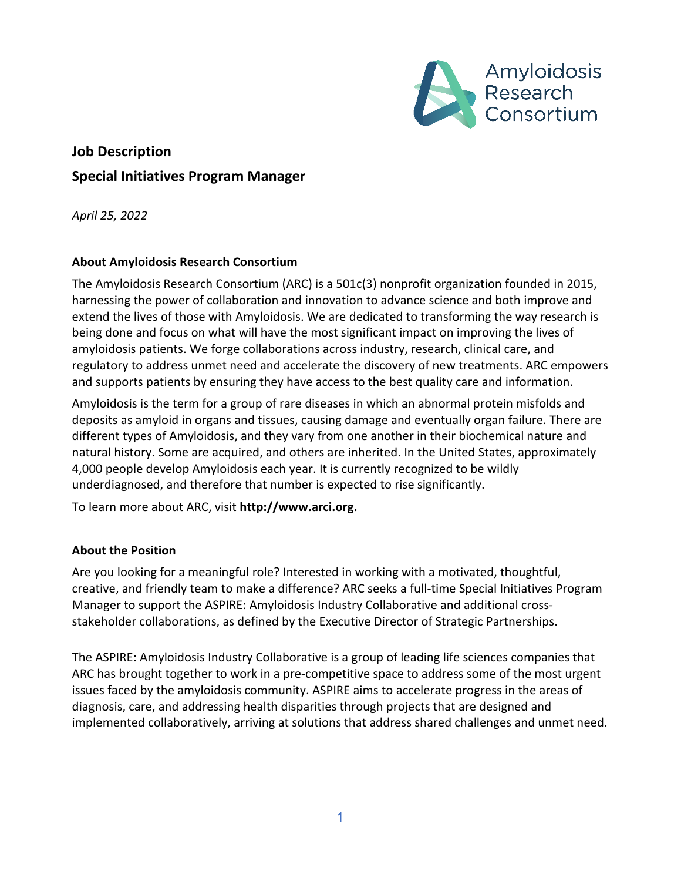

# **Job Description Special Initiatives Program Manager**

*April 25, 2022*

# **About Amyloidosis Research Consortium**

The Amyloidosis Research Consortium (ARC) is a 501c(3) nonprofit organization founded in 2015, harnessing the power of collaboration and innovation to advance science and both improve and extend the lives of those with Amyloidosis. We are dedicated to transforming the way research is being done and focus on what will have the most significant impact on improving the lives of amyloidosis patients. We forge collaborations across industry, research, clinical care, and regulatory to address unmet need and accelerate the discovery of new treatments. ARC empowers and supports patients by ensuring they have access to the best quality care and information.

Amyloidosis is the term for a group of rare diseases in which an abnormal protein misfolds and deposits as amyloid in organs and tissues, causing damage and eventually organ failure. There are different types of Amyloidosis, and they vary from one another in their biochemical nature and natural history. Some are acquired, and others are inherited. In the United States, approximately 4,000 people develop Amyloidosis each year. It is currently recognized to be wildly underdiagnosed, and therefore that number is expected to rise significantly.

To learn more about ARC, visit **[http://www.arci.org.](http://www.arci.org/)**

# **About the Position**

Are you looking for a meaningful role? Interested in working with a motivated, thoughtful, creative, and friendly team to make a difference? ARC seeks a full-time Special Initiatives Program Manager to support the ASPIRE: Amyloidosis Industry Collaborative and additional crossstakeholder collaborations, as defined by the Executive Director of Strategic Partnerships.

The ASPIRE: Amyloidosis Industry Collaborative is a group of leading life sciences companies that ARC has brought together to work in a pre-competitive space to address some of the most urgent issues faced by the amyloidosis community. ASPIRE aims to accelerate progress in the areas of diagnosis, care, and addressing health disparities through projects that are designed and implemented collaboratively, arriving at solutions that address shared challenges and unmet need.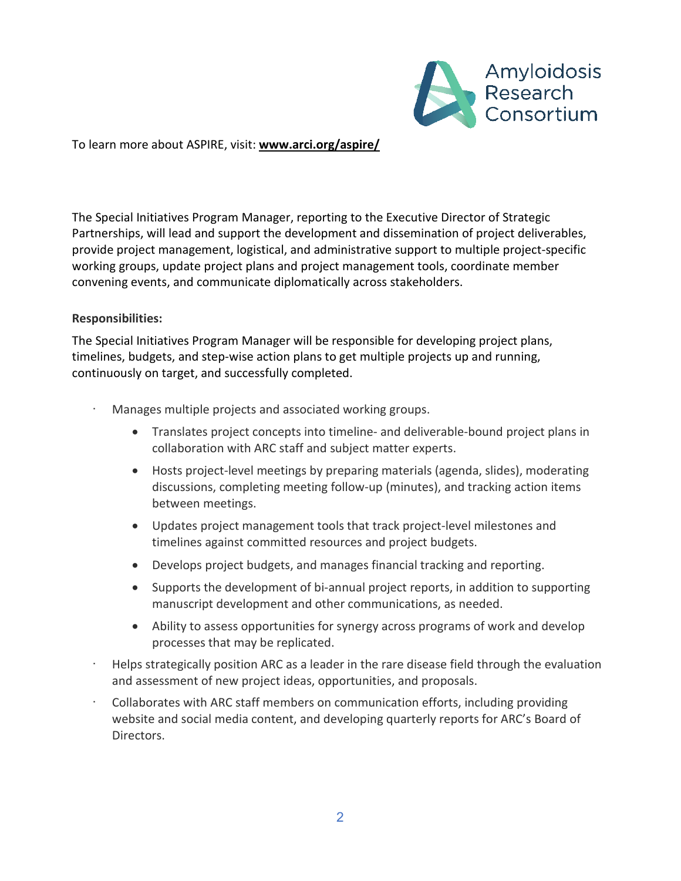

To learn more about ASPIRE, visit: **[www.arci.org/aspire/](http://www.arci.org/aspire/)**

The Special Initiatives Program Manager, reporting to the Executive Director of Strategic Partnerships, will lead and support the development and dissemination of project deliverables, provide project management, logistical, and administrative support to multiple project-specific working groups, update project plans and project management tools, coordinate member convening events, and communicate diplomatically across stakeholders.

#### **Responsibilities:**

The Special Initiatives Program Manager will be responsible for developing project plans, timelines, budgets, and step-wise action plans to get multiple projects up and running, continuously on target, and successfully completed.

- · Manages multiple projects and associated working groups.
	- Translates project concepts into timeline- and deliverable-bound project plans in collaboration with ARC staff and subject matter experts.
	- Hosts project-level meetings by preparing materials (agenda, slides), moderating discussions, completing meeting follow-up (minutes), and tracking action items between meetings.
	- Updates project management tools that track project-level milestones and timelines against committed resources and project budgets.
	- Develops project budgets, and manages financial tracking and reporting.
	- Supports the development of bi-annual project reports, in addition to supporting manuscript development and other communications, as needed.
	- Ability to assess opportunities for synergy across programs of work and develop processes that may be replicated.
- · Helps strategically position ARC as a leader in the rare disease field through the evaluation and assessment of new project ideas, opportunities, and proposals.
- · Collaborates with ARC staff members on communication efforts, including providing website and social media content, and developing quarterly reports for ARC's Board of Directors.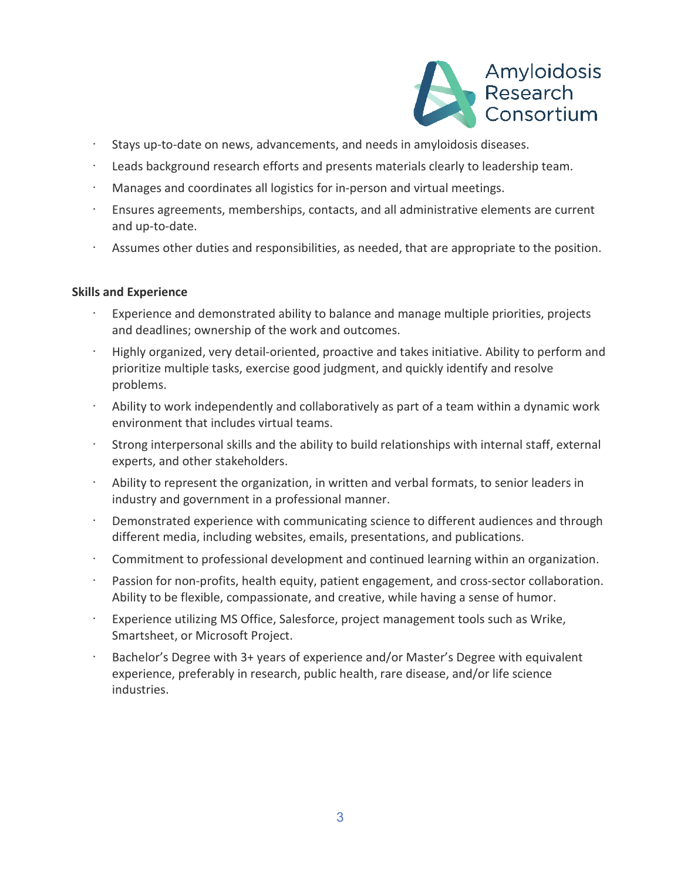

- · Stays up-to-date on news, advancements, and needs in amyloidosis diseases.
- · Leads background research efforts and presents materials clearly to leadership team.
- · Manages and coordinates all logistics for in-person and virtual meetings.
- · Ensures agreements, memberships, contacts, and all administrative elements are current and up-to-date.
- · Assumes other duties and responsibilities, as needed, that are appropriate to the position.

#### **Skills and Experience**

- Experience and demonstrated ability to balance and manage multiple priorities, projects and deadlines; ownership of the work and outcomes.
- · Highly organized, very detail-oriented, proactive and takes initiative. Ability to perform and prioritize multiple tasks, exercise good judgment, and quickly identify and resolve problems.
- · Ability to work independently and collaboratively as part of a team within a dynamic work environment that includes virtual teams.
- Strong interpersonal skills and the ability to build relationships with internal staff, external experts, and other stakeholders.
- Ability to represent the organization, in written and verbal formats, to senior leaders in industry and government in a professional manner.
- Demonstrated experience with communicating science to different audiences and through different media, including websites, emails, presentations, and publications.
- Commitment to professional development and continued learning within an organization.
- Passion for non-profits, health equity, patient engagement, and cross-sector collaboration. Ability to be flexible, compassionate, and creative, while having a sense of humor.
- · Experience utilizing MS Office, Salesforce, project management tools such as Wrike, Smartsheet, or Microsoft Project.
- Bachelor's Degree with 3+ years of experience and/or Master's Degree with equivalent experience, preferably in research, public health, rare disease, and/or life science industries.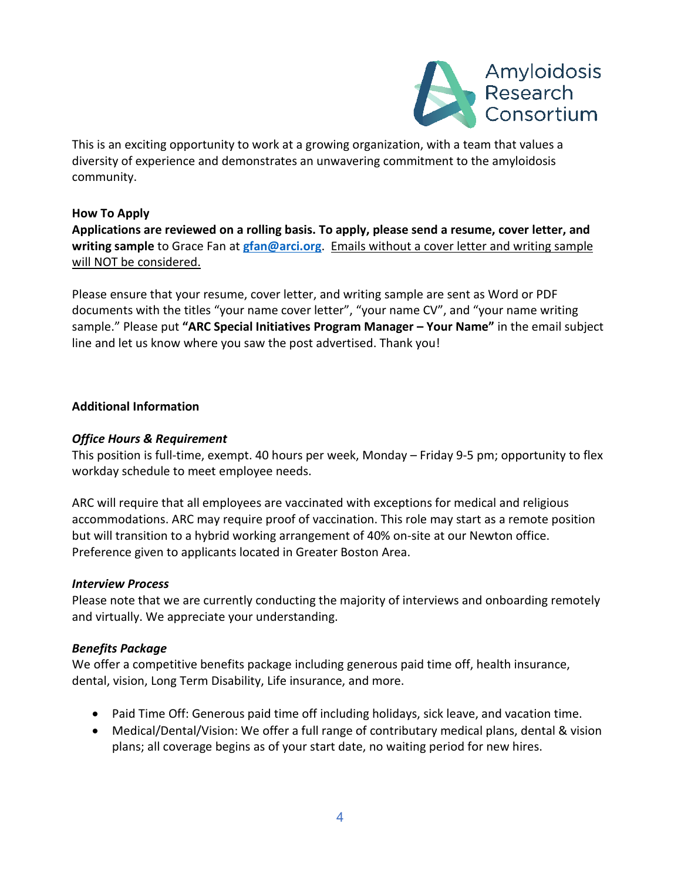

This is an exciting opportunity to work at a growing organization, with a team that values a diversity of experience and demonstrates an unwavering commitment to the amyloidosis community.

## **How To Apply**

**Applications are reviewed on a rolling basis. To apply, please send a resume, cover letter, and writing sample** to Grace Fan at **[gfan@arci.org](mailto:gfan@arci.org)**. Emails without a cover letter and writing sample will NOT be considered.

Please ensure that your resume, cover letter, and writing sample are sent as Word or PDF documents with the titles "your name cover letter", "your name CV", and "your name writing sample." Please put **"ARC Special Initiatives Program Manager – Your Name"** in the email subject line and let us know where you saw the post advertised. Thank you!

# **Additional Information**

## *Office Hours & Requirement*

This position is full-time, exempt. 40 hours per week, Monday – Friday 9-5 pm; opportunity to flex workday schedule to meet employee needs.

ARC will require that all employees are vaccinated with exceptions for medical and religious accommodations. ARC may require proof of vaccination. This role may start as a remote position but will transition to a hybrid working arrangement of 40% on-site at our Newton office. Preference given to applicants located in Greater Boston Area.

## *Interview Process*

Please note that we are currently conducting the majority of interviews and onboarding remotely and virtually. We appreciate your understanding.

# *Benefits Package*

We offer a competitive benefits package including generous paid time off, health insurance, dental, vision, Long Term Disability, Life insurance, and more.

- Paid Time Off: Generous paid time off including holidays, sick leave, and vacation time.
- Medical/Dental/Vision: We offer a full range of contributary medical plans, dental & vision plans; all coverage begins as of your start date, no waiting period for new hires.